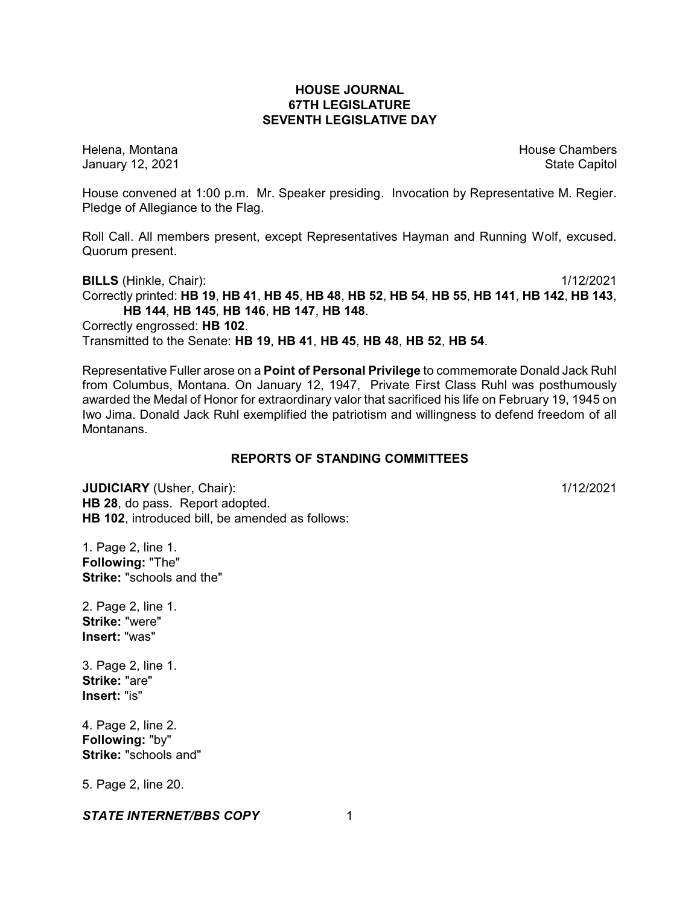## **HOUSE JOURNAL 67TH LEGISLATURE SEVENTH LEGISLATIVE DAY**

Helena, Montana **House Chambers** House Chambers **House Chambers** House Chambers **House Chambers** January 12, 2021 **State Capitol** 

House convened at 1:00 p.m. Mr. Speaker presiding. Invocation by Representative M. Regier. Pledge of Allegiance to the Flag.

Roll Call. All members present, except Representatives Hayman and Running Wolf, excused. Quorum present.

**BILLS** (Hinkle, Chair): 1/12/2021 Correctly printed: HB 19, HB 41, HB 45, HB 48, HB 52, HB 54, HB 55, HB 141, HB 142, HB 143, **HB 144**, **HB 145**, **HB 146**, **HB 147**, **HB 148**. Correctly engrossed: **HB 102**. Transmitted to the Senate: **HB 19**, **HB 41**, **HB 45**, **HB 48**, **HB 52**, **HB 54**.

Representative Fuller arose on a **Point of Personal Privilege** to commemorate Donald Jack Ruhl from Columbus, Montana. On January 12, 1947, Private First Class Ruhl was posthumously awarded the Medal of Honor for extraordinary valor that sacrificed his life on February 19, 1945 on Iwo Jima. Donald Jack Ruhl exemplified the patriotism and willingness to defend freedom of all Montanans.

## **REPORTS OF STANDING COMMITTEES**

**JUDICIARY** (Usher, Chair): 1/12/2021 **HB 28**, do pass. Report adopted. **HB 102**, introduced bill, be amended as follows:

1. Page 2, line 1. **Following:** "The" **Strike:** "schools and the"

2. Page 2, line 1. **Strike:** "were" **Insert:** "was"

3. Page 2, line 1. **Strike:** "are" **Insert:** "is"

4. Page 2, line 2. **Following:** "by" **Strike:** "schools and"

5. Page 2, line 20.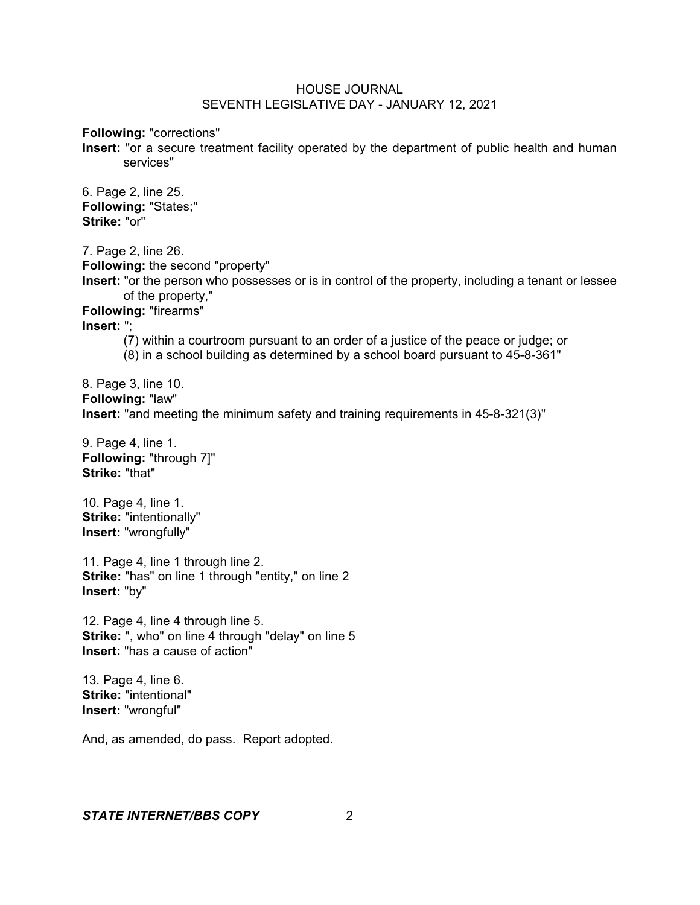**Following:** "corrections"

**Insert:** "or a secure treatment facility operated by the department of public health and human services"

6. Page 2, line 25. **Following:** "States;" **Strike:** "or"

7. Page 2, line 26. **Following:** the second "property" **Insert:** "or the person who possesses or is in control of the property, including a tenant or lessee of the property," **Following:** "firearms" **Insert:** "; (7) within a courtroom pursuant to an order of a justice of the peace or judge; or (8) in a school building as determined by a school board pursuant to 45-8-361"

8. Page 3, line 10. **Following:** "law" **Insert:** "and meeting the minimum safety and training requirements in 45-8-321(3)"

9. Page 4, line 1. **Following:** "through 7]" **Strike:** "that"

10. Page 4, line 1. **Strike:** "intentionally" **Insert:** "wrongfully"

11. Page 4, line 1 through line 2. **Strike:** "has" on line 1 through "entity," on line 2 **Insert:** "by"

12. Page 4, line 4 through line 5. **Strike:** ", who" on line 4 through "delay" on line 5 **Insert:** "has a cause of action"

13. Page 4, line 6. **Strike:** "intentional" **Insert:** "wrongful"

And, as amended, do pass. Report adopted.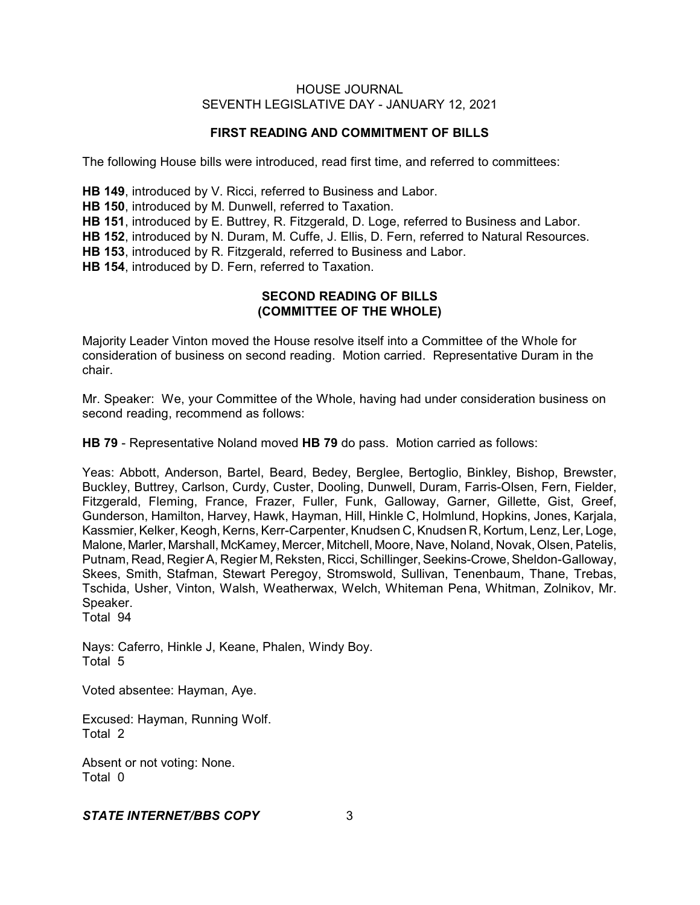# **FIRST READING AND COMMITMENT OF BILLS**

The following House bills were introduced, read first time, and referred to committees:

**HB 149**, introduced by V. Ricci, referred to Business and Labor.

**HB 150**, introduced by M. Dunwell, referred to Taxation.

**HB 151**, introduced by E. Buttrey, R. Fitzgerald, D. Loge, referred to Business and Labor.

**HB 152**, introduced by N. Duram, M. Cuffe, J. Ellis, D. Fern, referred to Natural Resources.

**HB 153**, introduced by R. Fitzgerald, referred to Business and Labor.

**HB 154**, introduced by D. Fern, referred to Taxation.

# **SECOND READING OF BILLS (COMMITTEE OF THE WHOLE)**

Majority Leader Vinton moved the House resolve itself into a Committee of the Whole for consideration of business on second reading. Motion carried. Representative Duram in the chair.

Mr. Speaker: We, your Committee of the Whole, having had under consideration business on second reading, recommend as follows:

**HB 79** - Representative Noland moved **HB 79** do pass. Motion carried as follows:

Yeas: Abbott, Anderson, Bartel, Beard, Bedey, Berglee, Bertoglio, Binkley, Bishop, Brewster, Buckley, Buttrey, Carlson, Curdy, Custer, Dooling, Dunwell, Duram, Farris-Olsen, Fern, Fielder, Fitzgerald, Fleming, France, Frazer, Fuller, Funk, Galloway, Garner, Gillette, Gist, Greef, Gunderson, Hamilton, Harvey, Hawk, Hayman, Hill, Hinkle C, Holmlund, Hopkins, Jones, Karjala, Kassmier, Kelker, Keogh, Kerns, Kerr-Carpenter, Knudsen C, Knudsen R, Kortum, Lenz, Ler, Loge, Malone, Marler, Marshall, McKamey, Mercer, Mitchell, Moore, Nave, Noland, Novak, Olsen, Patelis, Putnam, Read, Regier A, Regier M, Reksten, Ricci, Schillinger, Seekins-Crowe, Sheldon-Galloway, Skees, Smith, Stafman, Stewart Peregoy, Stromswold, Sullivan, Tenenbaum, Thane, Trebas, Tschida, Usher, Vinton, Walsh, Weatherwax, Welch, Whiteman Pena, Whitman, Zolnikov, Mr. Speaker.

Total 94

Nays: Caferro, Hinkle J, Keane, Phalen, Windy Boy. Total 5

Voted absentee: Hayman, Aye.

Excused: Hayman, Running Wolf. Total 2

Absent or not voting: None. Total 0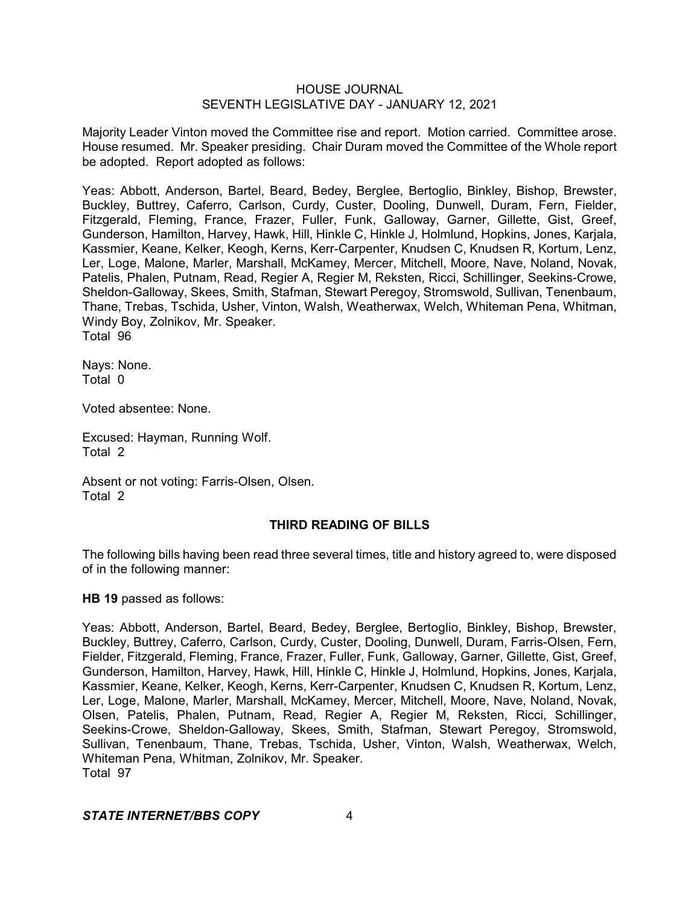Majority Leader Vinton moved the Committee rise and report. Motion carried. Committee arose. House resumed. Mr. Speaker presiding. Chair Duram moved the Committee of the Whole report be adopted. Report adopted as follows:

Yeas: Abbott, Anderson, Bartel, Beard, Bedey, Berglee, Bertoglio, Binkley, Bishop, Brewster, Buckley, Buttrey, Caferro, Carlson, Curdy, Custer, Dooling, Dunwell, Duram, Fern, Fielder, Fitzgerald, Fleming, France, Frazer, Fuller, Funk, Galloway, Garner, Gillette, Gist, Greef, Gunderson, Hamilton, Harvey, Hawk, Hill, Hinkle C, Hinkle J, Holmlund, Hopkins, Jones, Karjala, Kassmier, Keane, Kelker, Keogh, Kerns, Kerr-Carpenter, Knudsen C, Knudsen R, Kortum, Lenz, Ler, Loge, Malone, Marler, Marshall, McKamey, Mercer, Mitchell, Moore, Nave, Noland, Novak, Patelis, Phalen, Putnam, Read, Regier A, Regier M, Reksten, Ricci, Schillinger, Seekins-Crowe, Sheldon-Galloway, Skees, Smith, Stafman, Stewart Peregoy, Stromswold, Sullivan, Tenenbaum, Thane, Trebas, Tschida, Usher, Vinton, Walsh, Weatherwax, Welch, Whiteman Pena, Whitman, Windy Boy, Zolnikov, Mr. Speaker. Total 96

Nays: None. Total 0

Voted absentee: None.

Excused: Hayman, Running Wolf. Total 2

Absent or not voting: Farris-Olsen, Olsen. Total 2

### **THIRD READING OF BILLS**

The following bills having been read three several times, title and history agreed to, were disposed of in the following manner:

**HB 19** passed as follows:

Yeas: Abbott, Anderson, Bartel, Beard, Bedey, Berglee, Bertoglio, Binkley, Bishop, Brewster, Buckley, Buttrey, Caferro, Carlson, Curdy, Custer, Dooling, Dunwell, Duram, Farris-Olsen, Fern, Fielder, Fitzgerald, Fleming, France, Frazer, Fuller, Funk, Galloway, Garner, Gillette, Gist, Greef, Gunderson, Hamilton, Harvey, Hawk, Hill, Hinkle C, Hinkle J, Holmlund, Hopkins, Jones, Karjala, Kassmier, Keane, Kelker, Keogh, Kerns, Kerr-Carpenter, Knudsen C, Knudsen R, Kortum, Lenz, Ler, Loge, Malone, Marler, Marshall, McKamey, Mercer, Mitchell, Moore, Nave, Noland, Novak, Olsen, Patelis, Phalen, Putnam, Read, Regier A, Regier M, Reksten, Ricci, Schillinger, Seekins-Crowe, Sheldon-Galloway, Skees, Smith, Stafman, Stewart Peregoy, Stromswold, Sullivan, Tenenbaum, Thane, Trebas, Tschida, Usher, Vinton, Walsh, Weatherwax, Welch, Whiteman Pena, Whitman, Zolnikov, Mr. Speaker. Total 97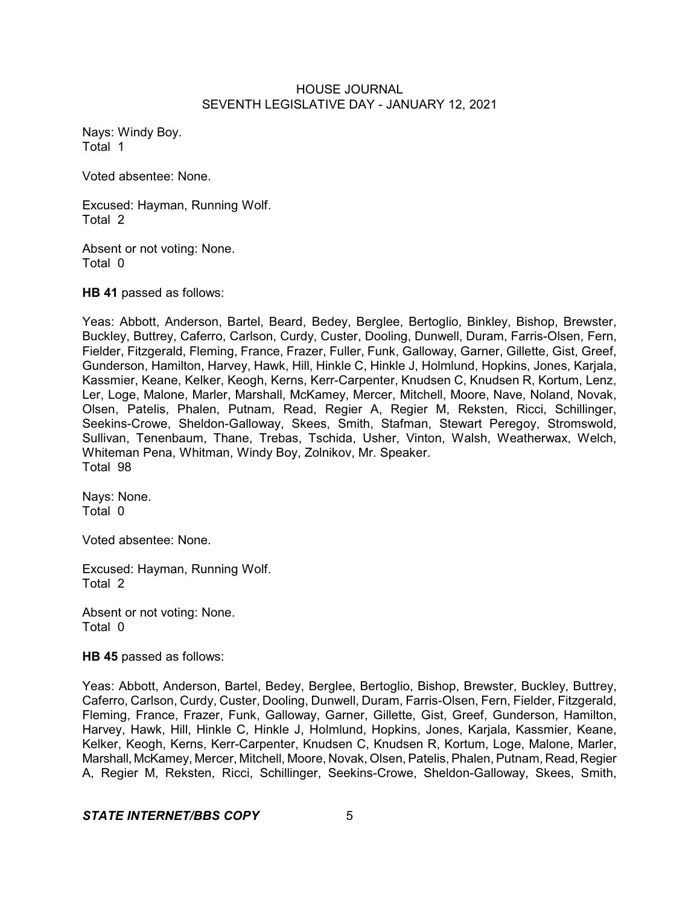Nays: Windy Boy. Total 1

Voted absentee: None.

Excused: Hayman, Running Wolf. Total 2

Absent or not voting: None. Total 0

**HB 41** passed as follows:

Yeas: Abbott, Anderson, Bartel, Beard, Bedey, Berglee, Bertoglio, Binkley, Bishop, Brewster, Buckley, Buttrey, Caferro, Carlson, Curdy, Custer, Dooling, Dunwell, Duram, Farris-Olsen, Fern, Fielder, Fitzgerald, Fleming, France, Frazer, Fuller, Funk, Galloway, Garner, Gillette, Gist, Greef, Gunderson, Hamilton, Harvey, Hawk, Hill, Hinkle C, Hinkle J, Holmlund, Hopkins, Jones, Karjala, Kassmier, Keane, Kelker, Keogh, Kerns, Kerr-Carpenter, Knudsen C, Knudsen R, Kortum, Lenz, Ler, Loge, Malone, Marler, Marshall, McKamey, Mercer, Mitchell, Moore, Nave, Noland, Novak, Olsen, Patelis, Phalen, Putnam, Read, Regier A, Regier M, Reksten, Ricci, Schillinger, Seekins-Crowe, Sheldon-Galloway, Skees, Smith, Stafman, Stewart Peregoy, Stromswold, Sullivan, Tenenbaum, Thane, Trebas, Tschida, Usher, Vinton, Walsh, Weatherwax, Welch, Whiteman Pena, Whitman, Windy Boy, Zolnikov, Mr. Speaker. Total 98

Nays: None. Total 0

Voted absentee: None.

Excused: Hayman, Running Wolf. Total 2

Absent or not voting: None. Total 0

**HB 45** passed as follows:

Yeas: Abbott, Anderson, Bartel, Bedey, Berglee, Bertoglio, Bishop, Brewster, Buckley, Buttrey, Caferro, Carlson, Curdy, Custer, Dooling, Dunwell, Duram, Farris-Olsen, Fern, Fielder, Fitzgerald, Fleming, France, Frazer, Funk, Galloway, Garner, Gillette, Gist, Greef, Gunderson, Hamilton, Harvey, Hawk, Hill, Hinkle C, Hinkle J, Holmlund, Hopkins, Jones, Karjala, Kassmier, Keane, Kelker, Keogh, Kerns, Kerr-Carpenter, Knudsen C, Knudsen R, Kortum, Loge, Malone, Marler, Marshall, McKamey, Mercer, Mitchell, Moore, Novak, Olsen, Patelis, Phalen, Putnam, Read, Regier A, Regier M, Reksten, Ricci, Schillinger, Seekins-Crowe, Sheldon-Galloway, Skees, Smith,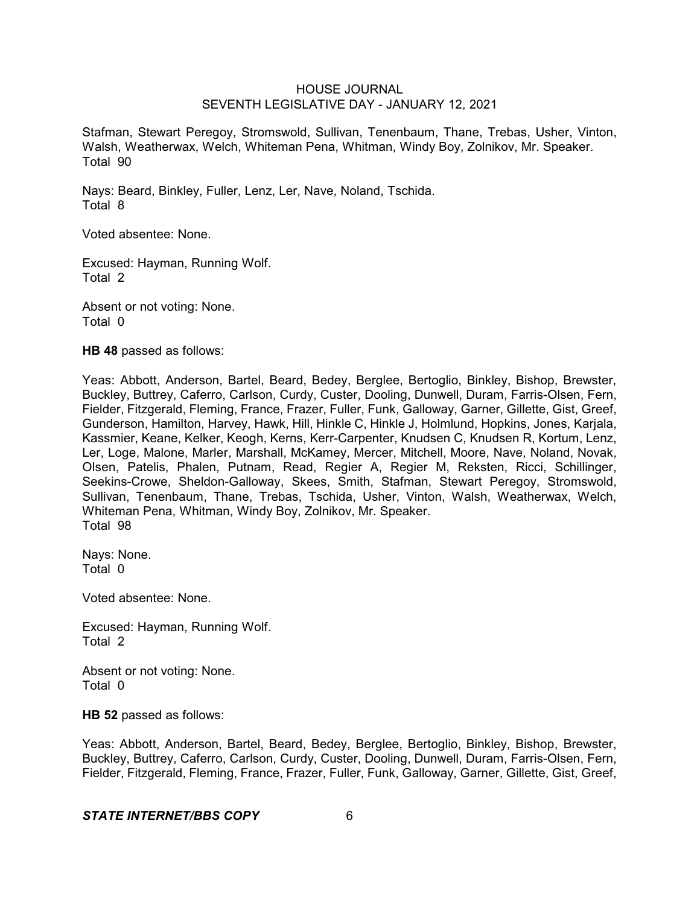Stafman, Stewart Peregoy, Stromswold, Sullivan, Tenenbaum, Thane, Trebas, Usher, Vinton, Walsh, Weatherwax, Welch, Whiteman Pena, Whitman, Windy Boy, Zolnikov, Mr. Speaker. Total 90

Nays: Beard, Binkley, Fuller, Lenz, Ler, Nave, Noland, Tschida. Total 8

Voted absentee: None.

Excused: Hayman, Running Wolf. Total 2

Absent or not voting: None. Total 0

**HB 48** passed as follows:

Yeas: Abbott, Anderson, Bartel, Beard, Bedey, Berglee, Bertoglio, Binkley, Bishop, Brewster, Buckley, Buttrey, Caferro, Carlson, Curdy, Custer, Dooling, Dunwell, Duram, Farris-Olsen, Fern, Fielder, Fitzgerald, Fleming, France, Frazer, Fuller, Funk, Galloway, Garner, Gillette, Gist, Greef, Gunderson, Hamilton, Harvey, Hawk, Hill, Hinkle C, Hinkle J, Holmlund, Hopkins, Jones, Karjala, Kassmier, Keane, Kelker, Keogh, Kerns, Kerr-Carpenter, Knudsen C, Knudsen R, Kortum, Lenz, Ler, Loge, Malone, Marler, Marshall, McKamey, Mercer, Mitchell, Moore, Nave, Noland, Novak, Olsen, Patelis, Phalen, Putnam, Read, Regier A, Regier M, Reksten, Ricci, Schillinger, Seekins-Crowe, Sheldon-Galloway, Skees, Smith, Stafman, Stewart Peregoy, Stromswold, Sullivan, Tenenbaum, Thane, Trebas, Tschida, Usher, Vinton, Walsh, Weatherwax, Welch, Whiteman Pena, Whitman, Windy Boy, Zolnikov, Mr. Speaker. Total 98

Nays: None. Total 0

Voted absentee: None.

Excused: Hayman, Running Wolf. Total 2

Absent or not voting: None. Total 0

**HB 52** passed as follows:

Yeas: Abbott, Anderson, Bartel, Beard, Bedey, Berglee, Bertoglio, Binkley, Bishop, Brewster, Buckley, Buttrey, Caferro, Carlson, Curdy, Custer, Dooling, Dunwell, Duram, Farris-Olsen, Fern, Fielder, Fitzgerald, Fleming, France, Frazer, Fuller, Funk, Galloway, Garner, Gillette, Gist, Greef,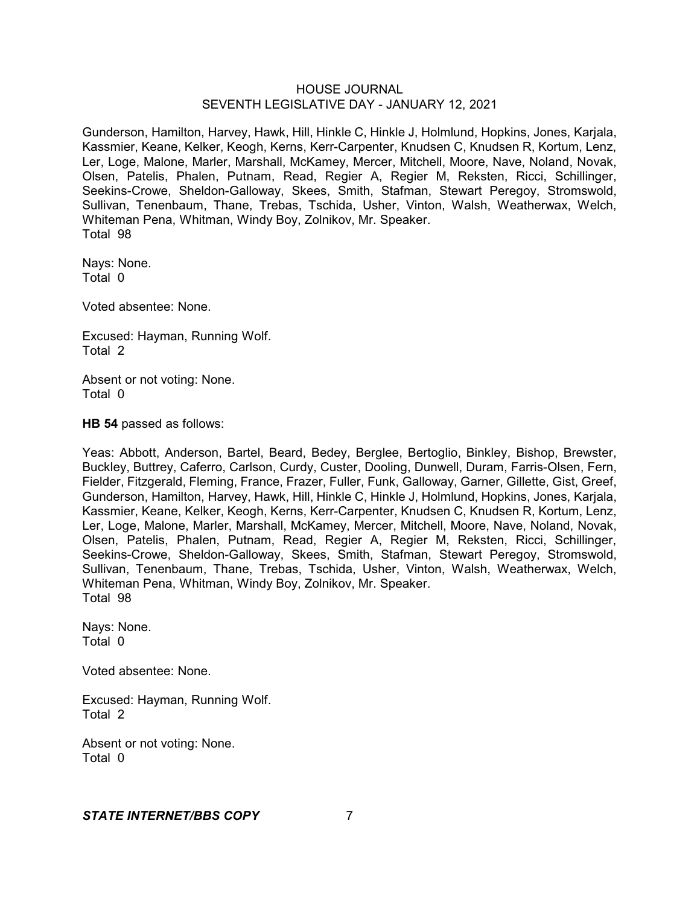Gunderson, Hamilton, Harvey, Hawk, Hill, Hinkle C, Hinkle J, Holmlund, Hopkins, Jones, Karjala, Kassmier, Keane, Kelker, Keogh, Kerns, Kerr-Carpenter, Knudsen C, Knudsen R, Kortum, Lenz, Ler, Loge, Malone, Marler, Marshall, McKamey, Mercer, Mitchell, Moore, Nave, Noland, Novak, Olsen, Patelis, Phalen, Putnam, Read, Regier A, Regier M, Reksten, Ricci, Schillinger, Seekins-Crowe, Sheldon-Galloway, Skees, Smith, Stafman, Stewart Peregoy, Stromswold, Sullivan, Tenenbaum, Thane, Trebas, Tschida, Usher, Vinton, Walsh, Weatherwax, Welch, Whiteman Pena, Whitman, Windy Boy, Zolnikov, Mr. Speaker. Total 98

Nays: None. Total 0

Voted absentee: None.

Excused: Hayman, Running Wolf. Total 2

Absent or not voting: None. Total 0

**HB 54** passed as follows:

Yeas: Abbott, Anderson, Bartel, Beard, Bedey, Berglee, Bertoglio, Binkley, Bishop, Brewster, Buckley, Buttrey, Caferro, Carlson, Curdy, Custer, Dooling, Dunwell, Duram, Farris-Olsen, Fern, Fielder, Fitzgerald, Fleming, France, Frazer, Fuller, Funk, Galloway, Garner, Gillette, Gist, Greef, Gunderson, Hamilton, Harvey, Hawk, Hill, Hinkle C, Hinkle J, Holmlund, Hopkins, Jones, Karjala, Kassmier, Keane, Kelker, Keogh, Kerns, Kerr-Carpenter, Knudsen C, Knudsen R, Kortum, Lenz, Ler, Loge, Malone, Marler, Marshall, McKamey, Mercer, Mitchell, Moore, Nave, Noland, Novak, Olsen, Patelis, Phalen, Putnam, Read, Regier A, Regier M, Reksten, Ricci, Schillinger, Seekins-Crowe, Sheldon-Galloway, Skees, Smith, Stafman, Stewart Peregoy, Stromswold, Sullivan, Tenenbaum, Thane, Trebas, Tschida, Usher, Vinton, Walsh, Weatherwax, Welch, Whiteman Pena, Whitman, Windy Boy, Zolnikov, Mr. Speaker. Total 98

Nays: None. Total 0

Voted absentee: None.

Excused: Hayman, Running Wolf. Total 2

Absent or not voting: None. Total 0